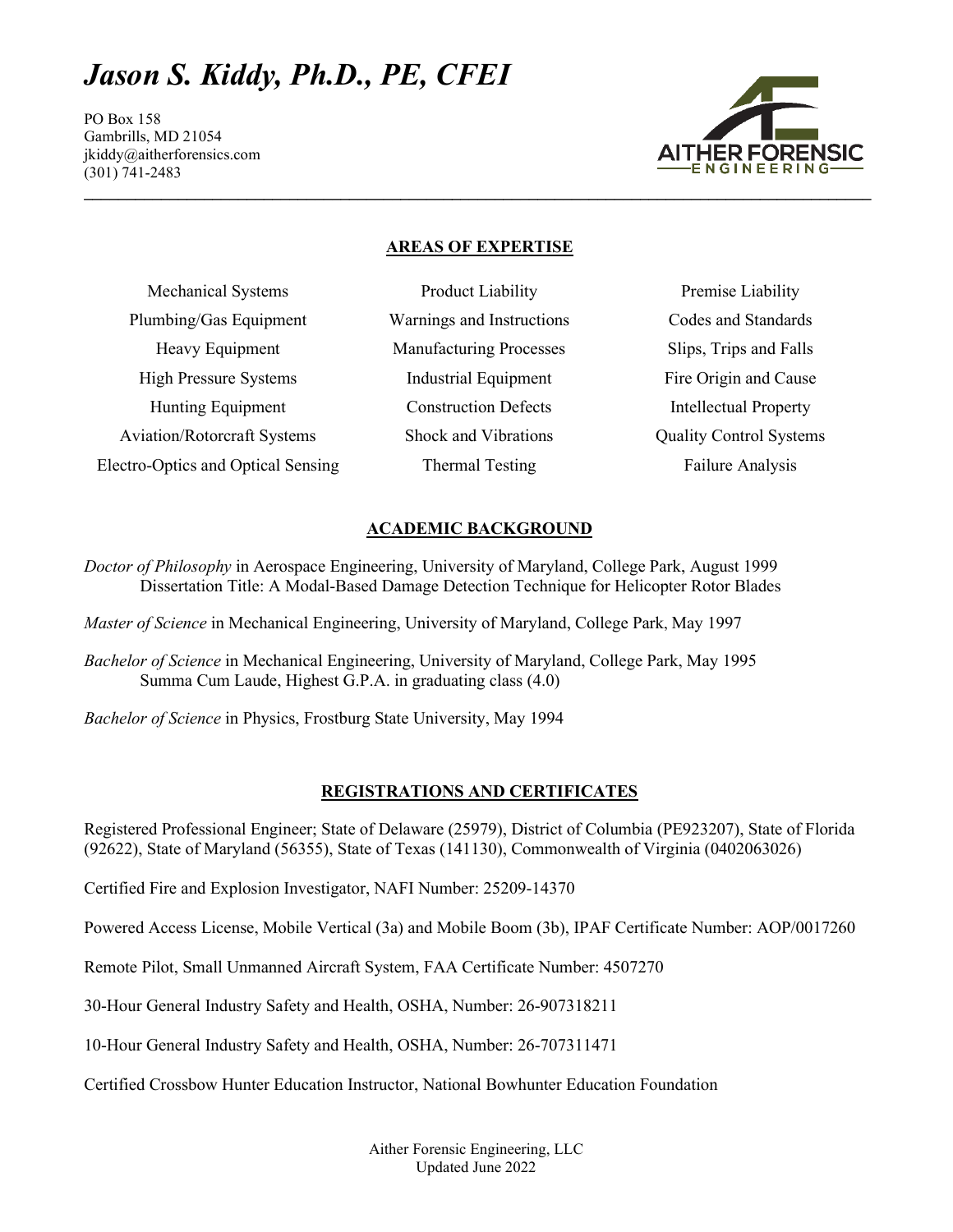# *Jason S. Kiddy, Ph.D., PE, CFEI*

PO Box 158 Gambrills, MD 21054 jkiddy@aitherforensics.com (301) 741-2483



## **AREAS OF EXPERTISE**

| <b>Mechanical Systems</b>          | Product Liability              |
|------------------------------------|--------------------------------|
| Plumbing/Gas Equipment             | Warnings and Instructions      |
| Heavy Equipment                    | <b>Manufacturing Processes</b> |
| <b>High Pressure Systems</b>       | <b>Industrial Equipment</b>    |
| <b>Hunting Equipment</b>           | <b>Construction Defects</b>    |
| <b>Aviation/Rotorcraft Systems</b> | Shock and Vibrations           |
| Electro-Optics and Optical Sensing | <b>Thermal Testing</b>         |

Premise Liability Codes and Standards Slips, Trips and Falls Fire Origin and Cause Intellectual Property Quality Control Systems Failure Analysis

# **ACADEMIC BACKGROUND**

*Doctor of Philosophy* in Aerospace Engineering, University of Maryland, College Park, August 1999 Dissertation Title: A Modal-Based Damage Detection Technique for Helicopter Rotor Blades

*Master of Science* in Mechanical Engineering, University of Maryland, College Park, May 1997

*Bachelor of Science* in Mechanical Engineering, University of Maryland, College Park, May 1995 Summa Cum Laude, Highest G.P.A. in graduating class (4.0)

*Bachelor of Science* in Physics, Frostburg State University, May 1994

# **REGISTRATIONS AND CERTIFICATES**

Registered Professional Engineer; State of Delaware (25979), District of Columbia (PE923207), State of Florida (92622), State of Maryland (56355), State of Texas (141130), Commonwealth of Virginia (0402063026)

Certified Fire and Explosion Investigator, NAFI Number: 25209-14370

Powered Access License, Mobile Vertical (3a) and Mobile Boom (3b), IPAF Certificate Number: AOP/0017260

Remote Pilot, Small Unmanned Aircraft System, FAA Certificate Number: 4507270

30-Hour General Industry Safety and Health, OSHA, Number: 26-907318211

10-Hour General Industry Safety and Health, OSHA, Number: 26-707311471

Certified Crossbow Hunter Education Instructor, National Bowhunter Education Foundation

Aither Forensic Engineering, LLC Updated June 2022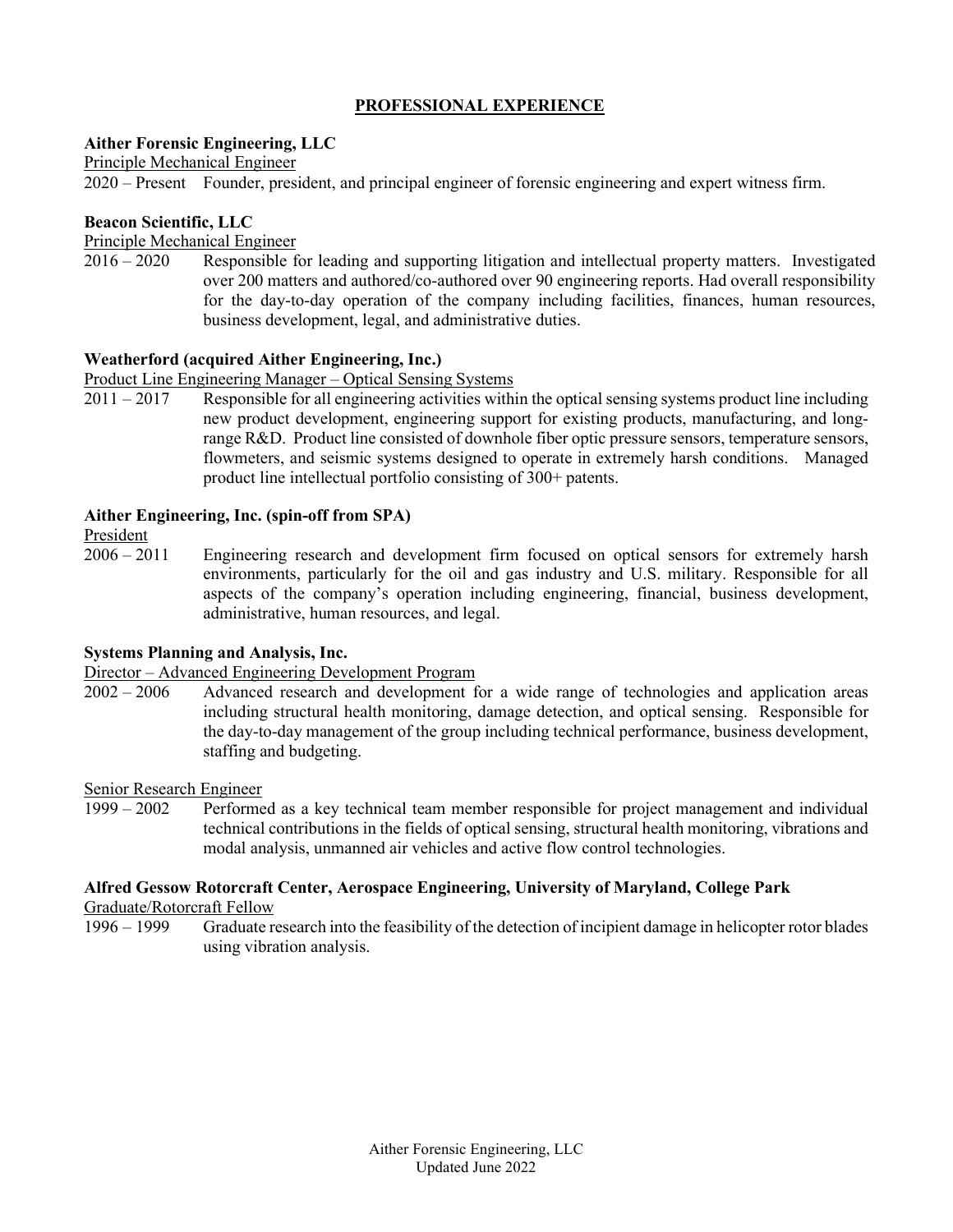## **PROFESSIONAL EXPERIENCE**

#### **Aither Forensic Engineering, LLC**

Principle Mechanical Engineer

2020 – Present Founder, president, and principal engineer of forensic engineering and expert witness firm.

#### **Beacon Scientific, LLC**

Principle Mechanical Engineer

2016 – 2020 Responsible for leading and supporting litigation and intellectual property matters. Investigated over 200 matters and authored/co-authored over 90 engineering reports. Had overall responsibility for the day-to-day operation of the company including facilities, finances, human resources, business development, legal, and administrative duties.

## **Weatherford (acquired Aither Engineering, Inc.)**

Product Line Engineering Manager – Optical Sensing Systems

2011 – 2017 Responsible for all engineering activities within the optical sensing systems product line including new product development, engineering support for existing products, manufacturing, and longrange R&D. Product line consisted of downhole fiber optic pressure sensors, temperature sensors, flowmeters, and seismic systems designed to operate in extremely harsh conditions. Managed product line intellectual portfolio consisting of 300+ patents.

#### **Aither Engineering, Inc. (spin-off from SPA)**

President

2006 – 2011 Engineering research and development firm focused on optical sensors for extremely harsh environments, particularly for the oil and gas industry and U.S. military. Responsible for all aspects of the company's operation including engineering, financial, business development, administrative, human resources, and legal.

#### **Systems Planning and Analysis, Inc.**

Director – Advanced Engineering Development Program

2002 – 2006 Advanced research and development for a wide range of technologies and application areas including structural health monitoring, damage detection, and optical sensing. Responsible for the day-to-day management of the group including technical performance, business development, staffing and budgeting.

Senior Research Engineer

1999 – 2002 Performed as a key technical team member responsible for project management and individual technical contributions in the fields of optical sensing, structural health monitoring, vibrations and modal analysis, unmanned air vehicles and active flow control technologies.

## **Alfred Gessow Rotorcraft Center, Aerospace Engineering, University of Maryland, College Park**

Graduate/Rotorcraft Fellow<br>1996 – 1999 Graduate re

Graduate research into the feasibility of the detection of incipient damage in helicopter rotor blades using vibration analysis.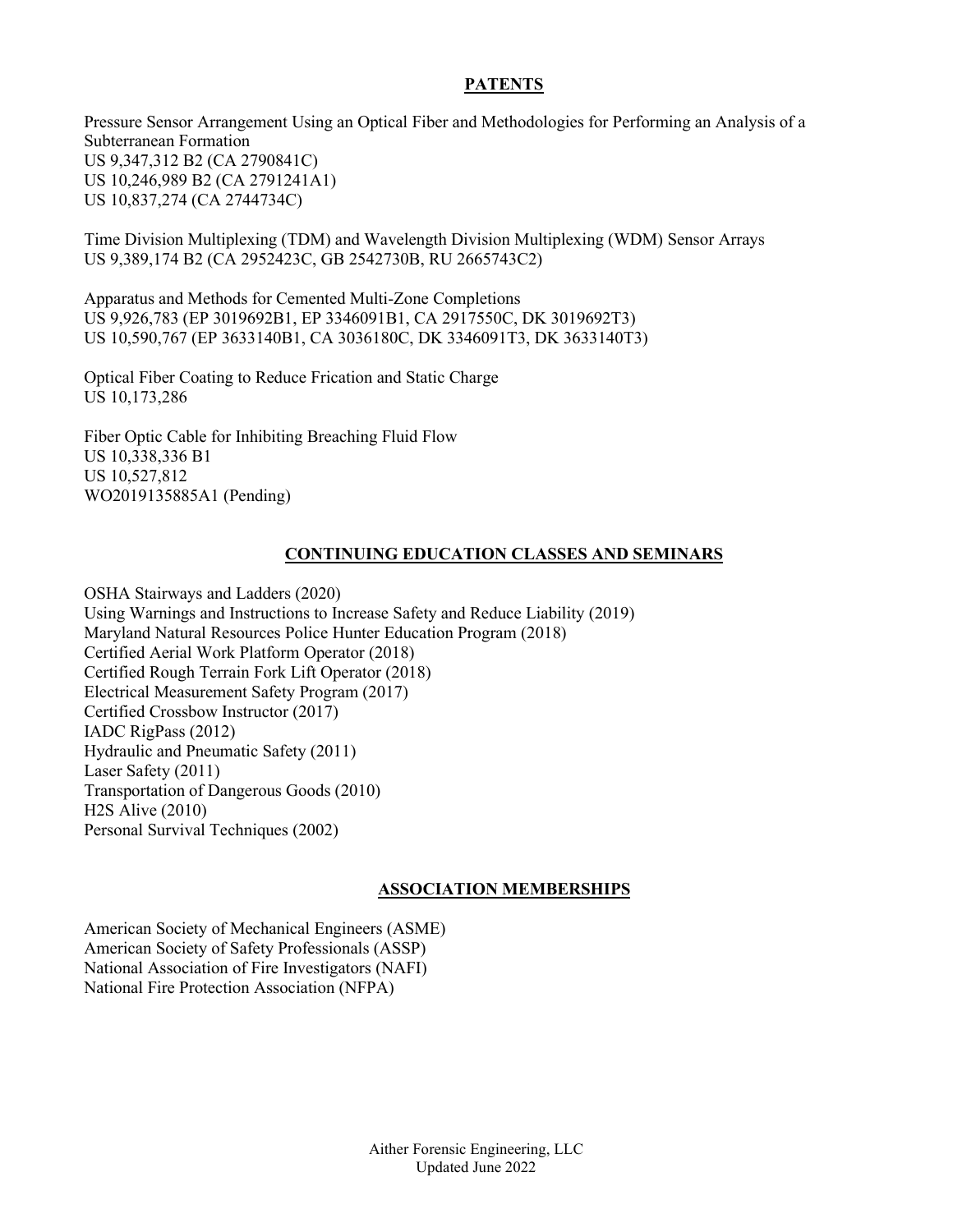## **PATENTS**

Pressure Sensor Arrangement Using an Optical Fiber and Methodologies for Performing an Analysis of a Subterranean Formation US 9,347,312 B2 (CA 2790841C) US 10,246,989 B2 (CA 2791241A1) US 10,837,274 (CA 2744734C)

Time Division Multiplexing (TDM) and Wavelength Division Multiplexing (WDM) Sensor Arrays US 9,389,174 B2 (CA 2952423C, GB 2542730B, RU 2665743C2)

Apparatus and Methods for Cemented Multi-Zone Completions US 9,926,783 (EP 3019692B1, EP 3346091B1, CA 2917550C, DK 3019692T3) US 10,590,767 (EP 3633140B1, CA 3036180C, DK 3346091T3, DK 3633140T3)

Optical Fiber Coating to Reduce Frication and Static Charge US 10,173,286

Fiber Optic Cable for Inhibiting Breaching Fluid Flow US 10,338,336 B1 US 10,527,812 WO2019135885A1 (Pending)

## **CONTINUING EDUCATION CLASSES AND SEMINARS**

OSHA Stairways and Ladders (2020) Using Warnings and Instructions to Increase Safety and Reduce Liability (2019) Maryland Natural Resources Police Hunter Education Program (2018) Certified Aerial Work Platform Operator (2018) Certified Rough Terrain Fork Lift Operator (2018) Electrical Measurement Safety Program (2017) Certified Crossbow Instructor (2017) IADC RigPass (2012) Hydraulic and Pneumatic Safety (2011) Laser Safety (2011) Transportation of Dangerous Goods (2010) H2S Alive (2010) Personal Survival Techniques (2002)

## **ASSOCIATION MEMBERSHIPS**

American Society of Mechanical Engineers (ASME) American Society of Safety Professionals (ASSP) National Association of Fire Investigators (NAFI) National Fire Protection Association (NFPA)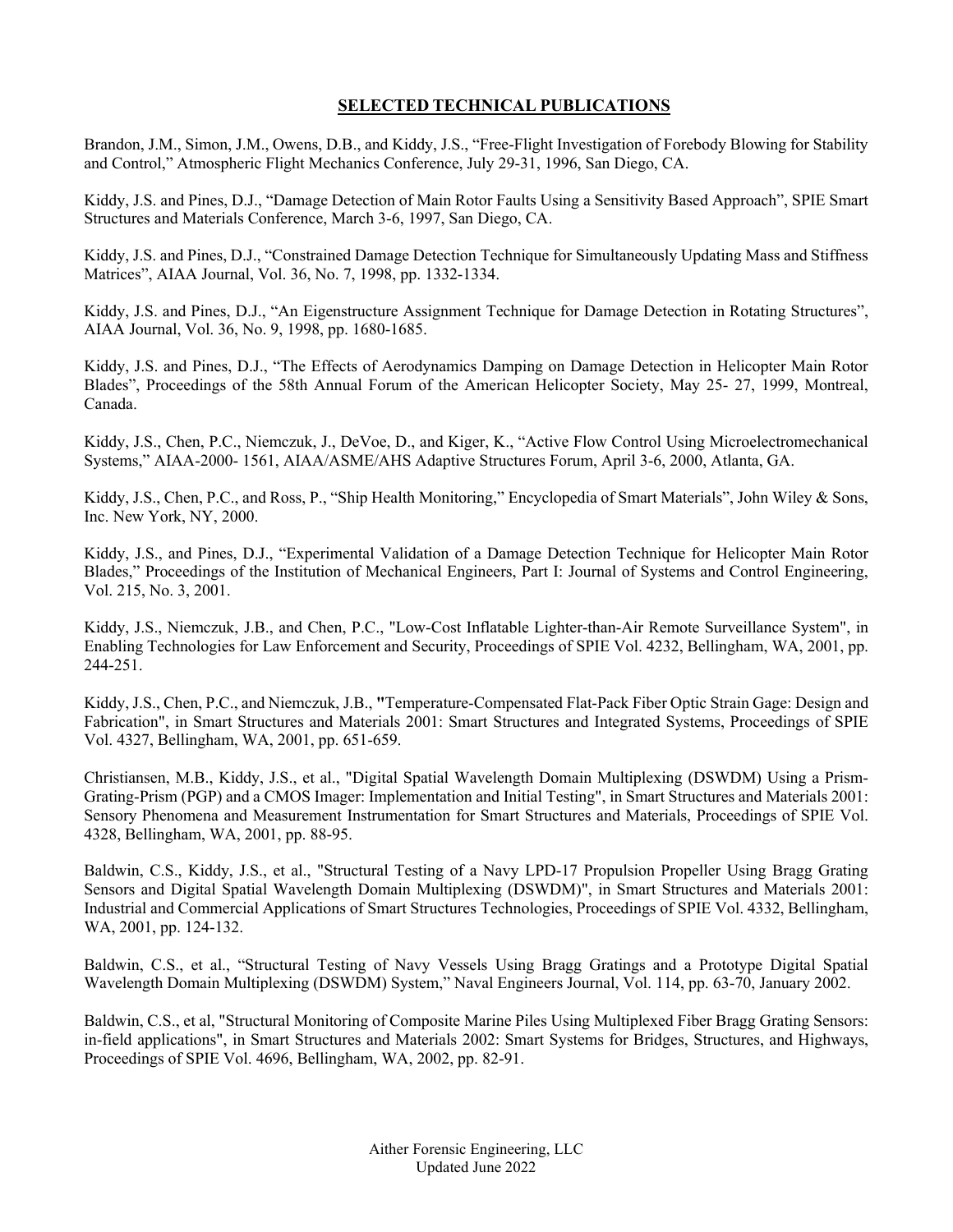## **SELECTED TECHNICAL PUBLICATIONS**

Brandon, J.M., Simon, J.M., Owens, D.B., and Kiddy, J.S., "Free-Flight Investigation of Forebody Blowing for Stability and Control," Atmospheric Flight Mechanics Conference, July 29-31, 1996, San Diego, CA.

Kiddy, J.S. and Pines, D.J., "Damage Detection of Main Rotor Faults Using a Sensitivity Based Approach", SPIE Smart Structures and Materials Conference, March 3-6, 1997, San Diego, CA.

Kiddy, J.S. and Pines, D.J., "Constrained Damage Detection Technique for Simultaneously Updating Mass and Stiffness Matrices", AIAA Journal, Vol. 36, No. 7, 1998, pp. 1332-1334.

Kiddy, J.S. and Pines, D.J., "An Eigenstructure Assignment Technique for Damage Detection in Rotating Structures", AIAA Journal, Vol. 36, No. 9, 1998, pp. 1680-1685.

Kiddy, J.S. and Pines, D.J., "The Effects of Aerodynamics Damping on Damage Detection in Helicopter Main Rotor Blades", Proceedings of the 58th Annual Forum of the American Helicopter Society, May 25- 27, 1999, Montreal, Canada.

Kiddy, J.S., Chen, P.C., Niemczuk, J., DeVoe, D., and Kiger, K., "Active Flow Control Using Microelectromechanical Systems," AIAA-2000- 1561, AIAA/ASME/AHS Adaptive Structures Forum, April 3-6, 2000, Atlanta, GA.

Kiddy, J.S., Chen, P.C., and Ross, P., "Ship Health Monitoring," Encyclopedia of Smart Materials", John Wiley & Sons, Inc. New York, NY, 2000.

Kiddy, J.S., and Pines, D.J., "Experimental Validation of a Damage Detection Technique for Helicopter Main Rotor Blades," Proceedings of the Institution of Mechanical Engineers, Part I: Journal of Systems and Control Engineering, Vol. 215, No. 3, 2001.

Kiddy, J.S., Niemczuk, J.B., and Chen, P.C., "Low-Cost Inflatable Lighter-than-Air Remote Surveillance System", in Enabling Technologies for Law Enforcement and Security, Proceedings of SPIE Vol. 4232, Bellingham, WA, 2001, pp. 244-251.

Kiddy, J.S., Chen, P.C., and Niemczuk, J.B., **"**Temperature-Compensated Flat-Pack Fiber Optic Strain Gage: Design and Fabrication", in Smart Structures and Materials 2001: Smart Structures and Integrated Systems, Proceedings of SPIE Vol. 4327, Bellingham, WA, 2001, pp. 651-659.

Christiansen, M.B., Kiddy, J.S., et al., "Digital Spatial Wavelength Domain Multiplexing (DSWDM) Using a Prism-Grating-Prism (PGP) and a CMOS Imager: Implementation and Initial Testing", in Smart Structures and Materials 2001: Sensory Phenomena and Measurement Instrumentation for Smart Structures and Materials, Proceedings of SPIE Vol. 4328, Bellingham, WA, 2001, pp. 88-95.

Baldwin, C.S., Kiddy, J.S., et al., "Structural Testing of a Navy LPD-17 Propulsion Propeller Using Bragg Grating Sensors and Digital Spatial Wavelength Domain Multiplexing (DSWDM)", in Smart Structures and Materials 2001: Industrial and Commercial Applications of Smart Structures Technologies, Proceedings of SPIE Vol. 4332, Bellingham, WA, 2001, pp. 124-132.

Baldwin, C.S., et al., "Structural Testing of Navy Vessels Using Bragg Gratings and a Prototype Digital Spatial Wavelength Domain Multiplexing (DSWDM) System," Naval Engineers Journal, Vol. 114, pp. 63-70, January 2002.

Baldwin, C.S., et al, "Structural Monitoring of Composite Marine Piles Using Multiplexed Fiber Bragg Grating Sensors: in-field applications", in Smart Structures and Materials 2002: Smart Systems for Bridges, Structures, and Highways, Proceedings of SPIE Vol. 4696, Bellingham, WA, 2002, pp. 82-91.